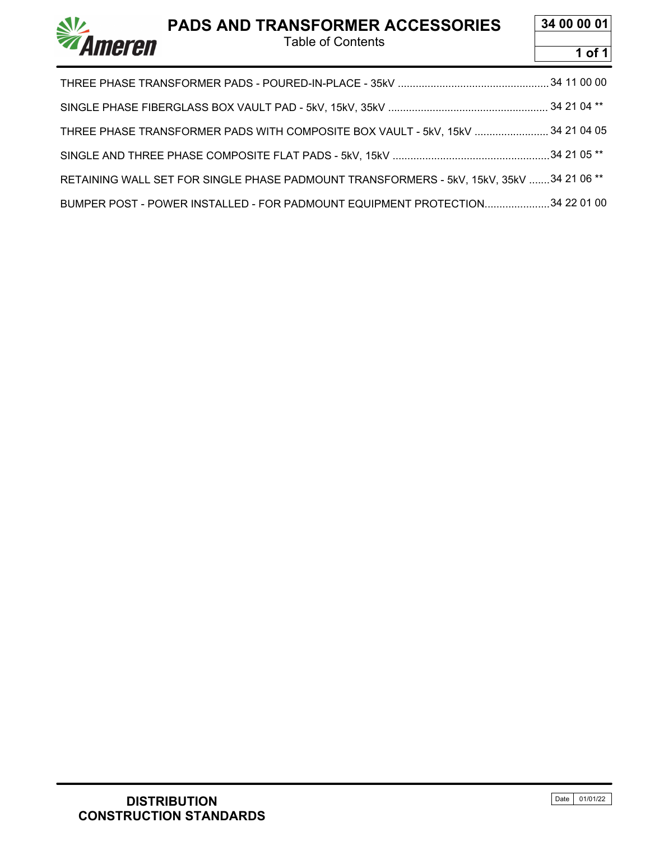Table of Contents

**34 00 00 01**



| THREE PHASE TRANSFORMER PADS WITH COMPOSITE BOX VAULT - 5kV, 15kV  34 21 04 05          |  |  |
|-----------------------------------------------------------------------------------------|--|--|
|                                                                                         |  |  |
| RETAINING WALL SET FOR SINGLE PHASE PADMOUNT TRANSFORMERS - 5kV, 15kV, 35kV 34 21 06 ** |  |  |
| BUMPER POST - POWER INSTALLED - FOR PADMOUNT EQUIPMENT PROTECTION34 22 01 00            |  |  |

 $\mathbf{N}$ 

*Ameren*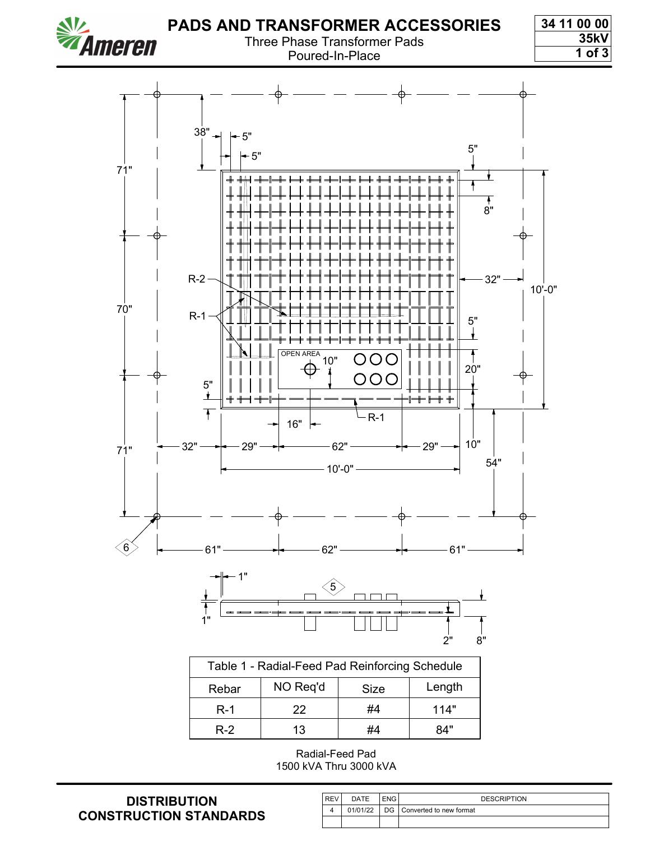

#### Three Phase Transformer Pads Poured-In-Place

**34 11 00 00 35kV**

**1 of 3**



| Table 1 - Radial-Feed Pad Reinforcing Schedule |          |      |        |
|------------------------------------------------|----------|------|--------|
| Rebar                                          | NO Req'd | Size | Length |
| $R-1$                                          | 22       | #4   | 114"   |
| $R-2$                                          | 13       | #4   | 84"    |

Radial-Feed Pad 1500 kVA Thru 3000 kVA

| <b>REV</b> | DATE     | ENG | <b>DESCRIPTION</b>         |
|------------|----------|-----|----------------------------|
|            | 01/01/22 |     | DG Converted to new format |
|            |          |     |                            |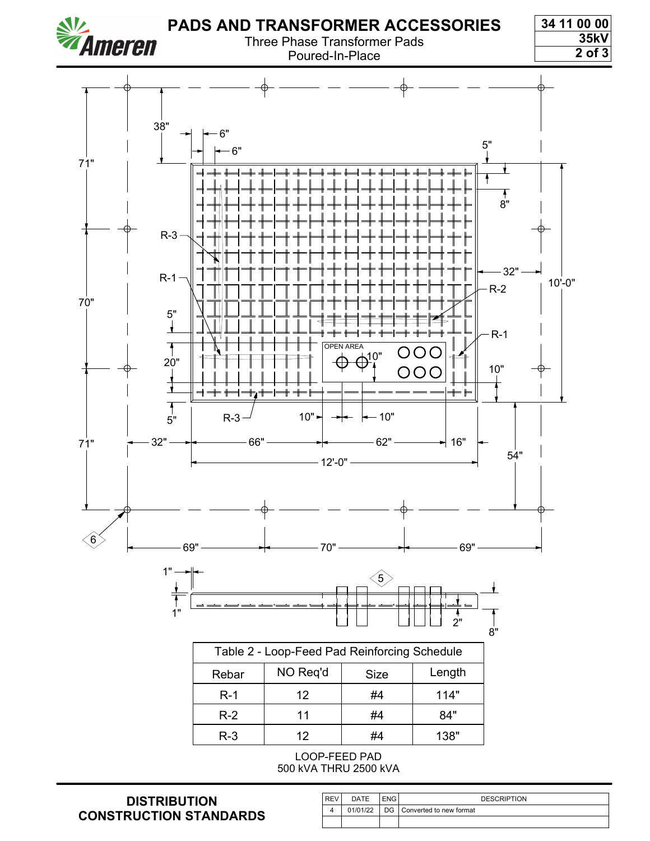

500 kVA THRU 2500 kVA

| <b>REV</b> | DATE     | ENG I | <b>DESCRIPTION</b>           |
|------------|----------|-------|------------------------------|
|            | 01/01/22 |       | DG   Converted to new format |
|            |          |       |                              |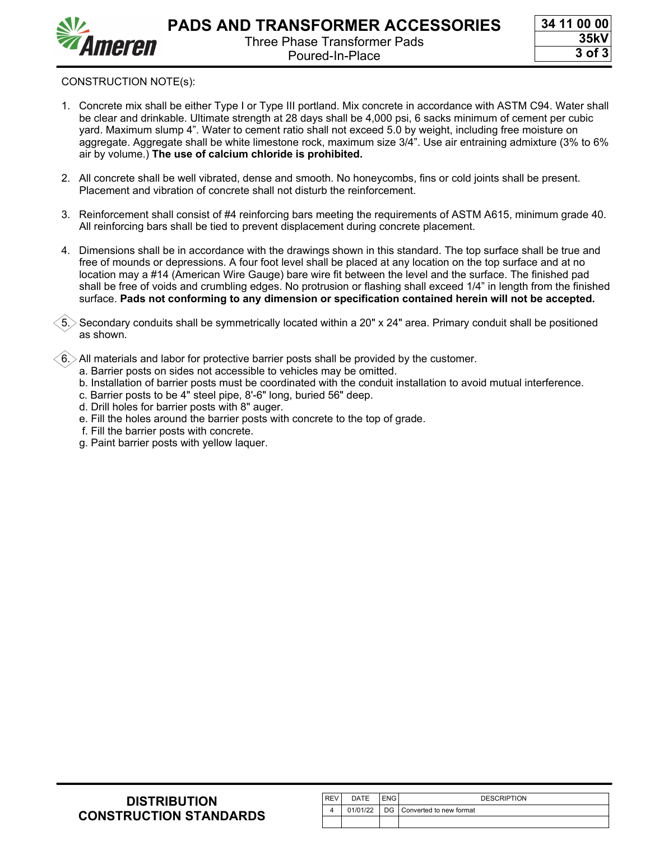

- 1. Concrete mix shall be either Type I or Type III portland. Mix concrete in accordance with ASTM C94. Water shall be clear and drinkable. Ultimate strength at 28 days shall be 4,000 psi, 6 sacks minimum of cement per cubic yard. Maximum slump 4". Water to cement ratio shall not exceed 5.0 by weight, including free moisture on aggregate. Aggregate shall be white limestone rock, maximum size 3/4". Use air entraining admixture (3% to 6% air by volume.) **The use of calcium chloride is prohibited.**
- 2. All concrete shall be well vibrated, dense and smooth. No honeycombs, fins or cold joints shall be present. Placement and vibration of concrete shall not disturb the reinforcement.
- 3. Reinforcement shall consist of #4 reinforcing bars meeting the requirements of ASTM A615, minimum grade 40. All reinforcing bars shall be tied to prevent displacement during concrete placement.
- 4. Dimensions shall be in accordance with the drawings shown in this standard. The top surface shall be true and free of mounds or depressions. A four foot level shall be placed at any location on the top surface and at no location may a #14 (American Wire Gauge) bare wire fit between the level and the surface. The finished pad shall be free of voids and crumbling edges. No protrusion or flashing shall exceed 1/4" in length from the finished surface. **Pads not conforming to any dimension or specification contained herein will not be accepted.**

5. Secondary conduits shall be symmetrically located within a 20" x 24" area. Primary conduit shall be positioned as shown.

6. All materials and labor for protective barrier posts shall be provided by the customer.

- a. Barrier posts on sides not accessible to vehicles may be omitted.
- b. Installation of barrier posts must be coordinated with the conduit installation to avoid mutual interference.
- c. Barrier posts to be 4" steel pipe, 8'-6" long, buried 56" deep.
- d. Drill holes for barrier posts with 8" auger.
- e. Fill the holes around the barrier posts with concrete to the top of grade.
- f. Fill the barrier posts with concrete.
- g. Paint barrier posts with yellow laquer.

| l REV | DATE | ENG | <b>DESCRIPTION</b>                      |
|-------|------|-----|-----------------------------------------|
|       |      |     | 01/01/22   DG   Converted to new format |
|       |      |     |                                         |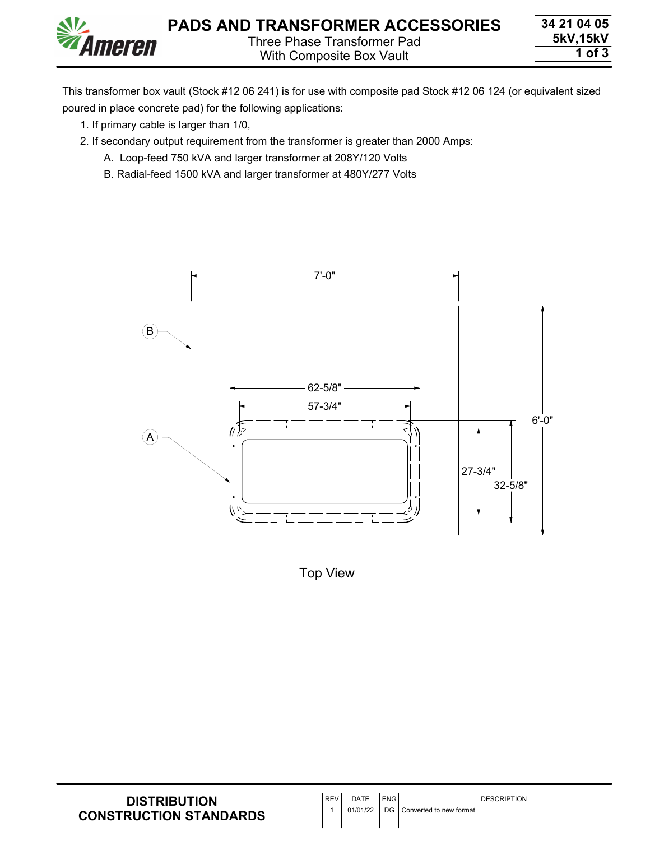

This transformer box vault (Stock #12 06 241) is for use with composite pad Stock #12 06 124 (or equivalent sized poured in place concrete pad) for the following applications:

1. If primary cable is larger than 1/0,

meren

- 2. If secondary output requirement from the transformer is greater than 2000 Amps:
	- A. Loop-feed 750 kVA and larger transformer at 208Y/120 Volts
	- B. Radial-feed 1500 kVA and larger transformer at 480Y/277 Volts



Top View

| <b>DISTRIBUTION</b>           |
|-------------------------------|
| <b>CONSTRUCTION STANDARDS</b> |

| <b>REV</b> | DATE | <b>ENG</b> | <b>DESCRIPTION</b>                  |
|------------|------|------------|-------------------------------------|
|            |      |            | 01/01/22 DG Converted to new format |
|            |      |            |                                     |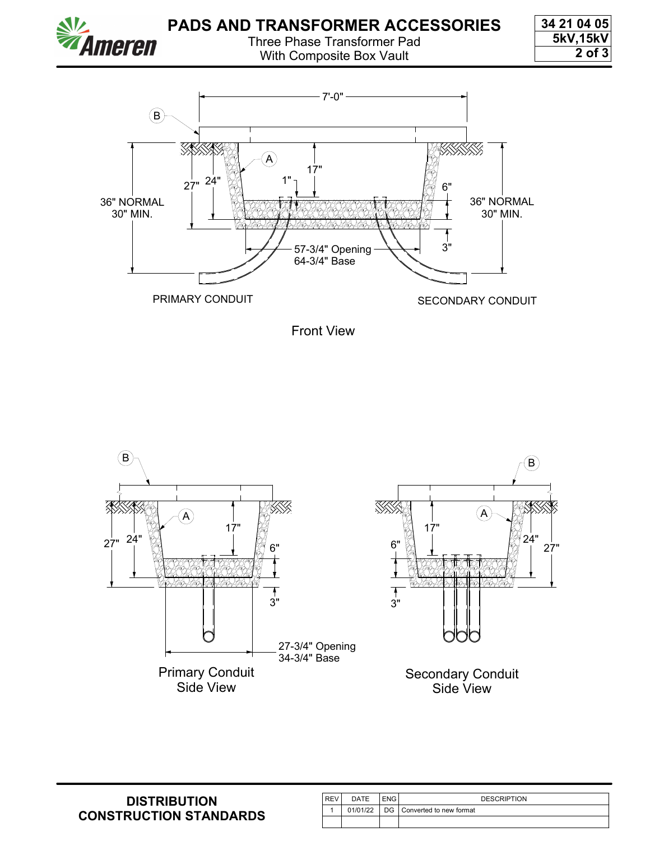

With Composite Box Vault

**34 21 04 05 5kV,15kV 2 of 3**







| <b>REV</b> | DATE | <b>ENG</b> | <b>DESCRIPTION</b>                  |
|------------|------|------------|-------------------------------------|
|            |      |            | 01/01/22 DG Converted to new format |
|            |      |            |                                     |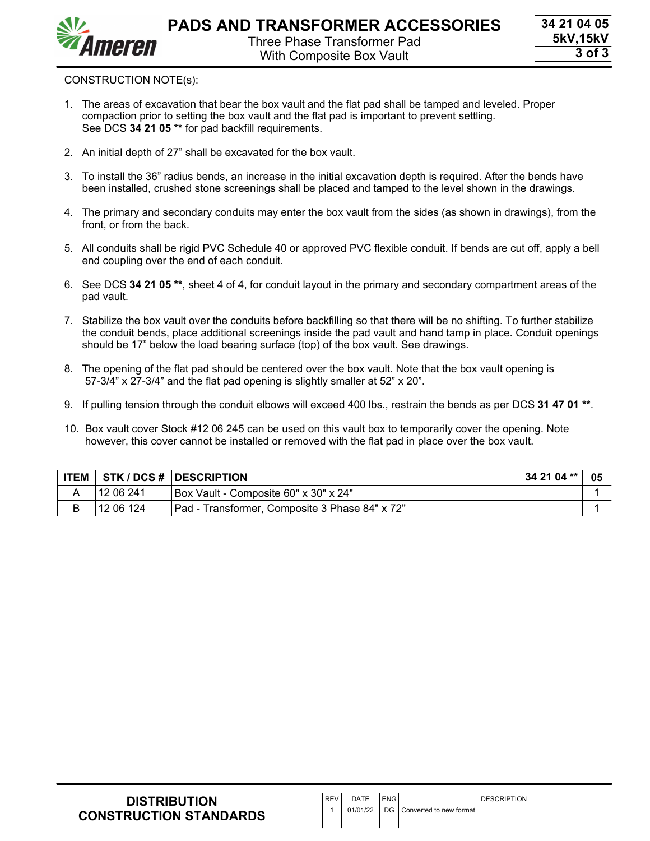



- 1. The areas of excavation that bear the box vault and the flat pad shall be tamped and leveled. Proper compaction prior to setting the box vault and the flat pad is important to prevent settling. See DCS **[34 21 05 \\*\\*](https://ameren.sharepoint.com/:b:/r/sites/DistributionStandards/Construction%20Standards/Standards%20Only/34%20Pads%20And%20Transformer%20Accessories/34%2021%2005.pdf?csf=1&web=1&e=RiJKdm)** for pad backfill requirements.
- 2. An initial depth of 27" shall be excavated for the box vault.
- 3. To install the 36" radius bends, an increase in the initial excavation depth is required. After the bends have been installed, crushed stone screenings shall be placed and tamped to the level shown in the drawings.
- 4. The primary and secondary conduits may enter the box vault from the sides (as shown in drawings), from the front, or from the back.
- 5. All conduits shall be rigid PVC Schedule 40 or approved PVC flexible conduit. If bends are cut off, apply a bell end coupling over the end of each conduit.
- 6. See DCS **[34 21 05 \\*\\*](https://ameren.sharepoint.com/:b:/r/sites/DistributionStandards/Construction%20Standards/Standards%20Only/34%20Pads%20And%20Transformer%20Accessories/34%2021%2005.pdf?csf=1&web=1&e=RiJKdm)**, sheet 4 of 4, for conduit layout in the primary and secondary compartment areas of the pad vault.
- 7. Stabilize the box vault over the conduits before backfilling so that there will be no shifting. To further stabilize the conduit bends, place additional screenings inside the pad vault and hand tamp in place. Conduit openings should be 17" below the load bearing surface (top) of the box vault. See drawings.
- 8. The opening of the flat pad should be centered over the box vault. Note that the box vault opening is 57-3/4" x 27-3/4" and the flat pad opening is slightly smaller at 52" x 20".
- 9. If pulling tension through the conduit elbows will exceed 400 lbs., restrain the bends as per DCS **[31 47 01 \\*\\*](https://ameren.sharepoint.com/:b:/r/sites/DistributionStandards/Construction%20Standards/Standards%20Only/30%20Structures/31%2047%2001.pdf?csf=1&web=1&e=TSnzLd)**.
- 10. Box vault cover Stock #12 06 245 can be used on this vault box to temporarily cover the opening. Note however, this cover cannot be installed or removed with the flat pad in place over the box vault.

| <b>ITEM</b> |                        | 34 21 04 **<br><b>STK / DCS #  DESCRIPTION</b> |  |
|-------------|------------------------|------------------------------------------------|--|
|             | ່ 12 06 241            | TBox Vault - Composite 60" x 30" x 24"         |  |
| B           | 12 06 124 <sup>'</sup> | Pad - Transformer, Composite 3 Phase 84" x 72" |  |

| <b>DISTRIBUTION</b>           |
|-------------------------------|
| <b>CONSTRUCTION STANDARDS</b> |

| <b>REV</b> | <b>DATE</b> | <b>ENG</b> | <b>DESCRIPTION</b>                  |
|------------|-------------|------------|-------------------------------------|
|            |             |            | 01/01/22 DG Converted to new format |
|            |             |            |                                     |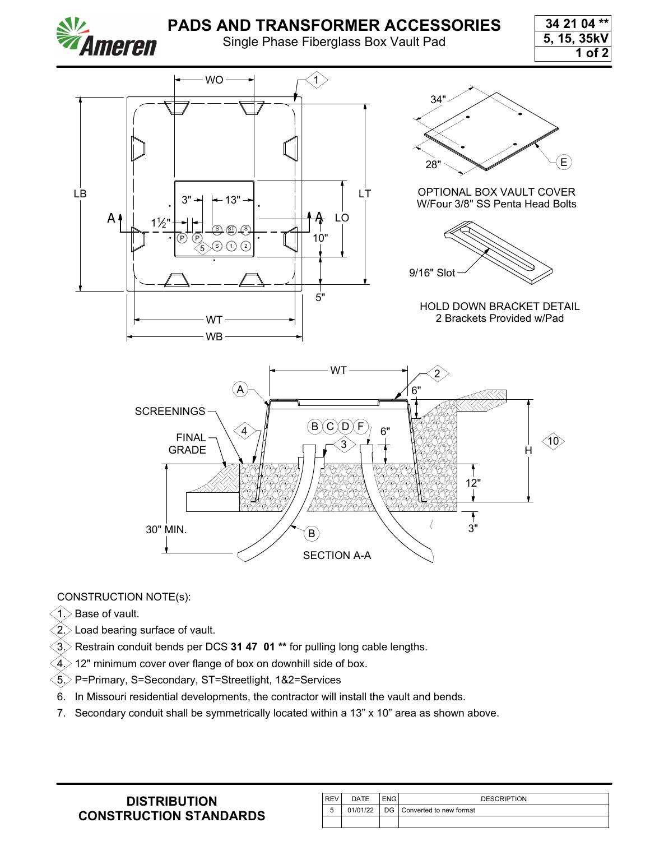

Single Phase Fiberglass Box Vault Pad

**34 21 04 \*\* 5, 15, 35kV 1 of 2**



### CONSTRUCTION NOTE(s):

 $(1)$  Base of vault.

 $>$  Load bearing surface of vault.

3. Restrain conduit bends per DCS **[31 47 01 \\*\\*](https://ameren.sharepoint.com/:b:/r/sites/DistributionStandards/Construction%20Standards/Standards%20Only/30%20Structures/31%2047%2001.pdf?csf=1&web=1&e=HAhLzN)** for pulling long cable lengths.

- 12" minimum cover over flange of box on downhill side of box.
- 5. P=Primary, S=Secondary, ST=Streetlight, 1&2=Services
- 6. In Missouri residential developments, the contractor will install the vault and bends.
- 7. Secondary conduit shall be symmetrically located within a 13" x 10" area as shown above.

| l REV | DATE | ENG | <b>DESCRIPTION</b>                  |
|-------|------|-----|-------------------------------------|
|       |      |     | 01/01/22 DG Converted to new format |
|       |      |     |                                     |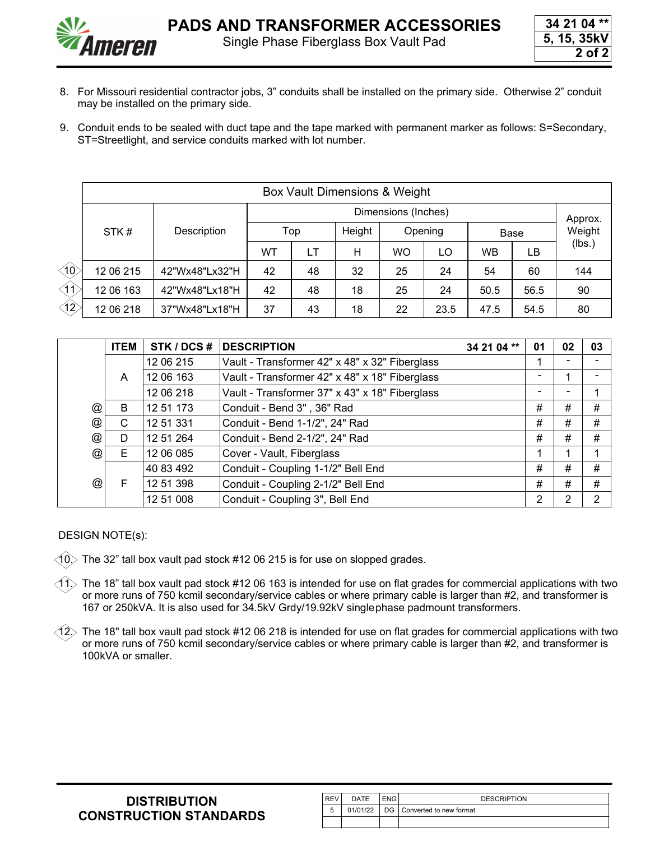

- 8. For Missouri residential contractor jobs, 3" conduits shall be installed on the primary side. Otherwise 2" conduit may be installed on the primary side.
- 9. Conduit ends to be sealed with duct tape and the tape marked with permanent marker as follows: S=Secondary, ST=Streetlight, and service conduits marked with lot number.

|                      | Box Vault Dimensions & Weight |                |     |         |        |           |         |           |      |        |  |  |  |
|----------------------|-------------------------------|----------------|-----|---------|--------|-----------|---------|-----------|------|--------|--|--|--|
|                      |                               |                |     | Approx. |        |           |         |           |      |        |  |  |  |
|                      | STK#                          | Description    | Top |         | Height |           | Opening | Base      |      | Weight |  |  |  |
|                      |                               |                | WТ  | LT      | Н      | <b>WO</b> | LO      | <b>WB</b> | LB   | (lbs.) |  |  |  |
| $\triangleleft$      | 12 06 215                     | 42"Wx48"Lx32"H | 42  | 48      | 32     | 25        | 24      | 54        | 60   | 144    |  |  |  |
| $\triangleleft$ 1)   | 12 06 163                     | 42"Wx48"Lx18"H | 42  | 48      | 18     | 25        | 24      | 50.5      | 56.5 | 90     |  |  |  |
| $\langle 12 \rangle$ | 12 06 218                     | 37"Wx48"Lx18"H | 37  | 43      | 18     | 22        | 23.5    | 47.5      | 54.5 | 80     |  |  |  |

|                           | <b>ITEM</b> | STK / DCS # | <b>DESCRIPTION</b>                             | 34 21 04 ** | 01 | 02 | 03 |
|---------------------------|-------------|-------------|------------------------------------------------|-------------|----|----|----|
|                           |             | 12 06 215   | Vault - Transformer 42" x 48" x 32" Fiberglass |             |    |    |    |
|                           | A           | 12 06 163   | Vault - Transformer 42" x 48" x 18" Fiberglass |             |    |    |    |
|                           |             | 12 06 218   | Vault - Transformer 37" x 43" x 18" Fiberglass |             |    |    |    |
| @                         | B           | 12 51 173   | Conduit - Bend 3", 36" Rad                     |             | #  | #  | #  |
| $^\text{\textregistered}$ | C           | 12 51 331   | Conduit - Bend 1-1/2", 24" Rad                 |             | #  | #  | #  |
| @                         | D           | 12 51 264   | Conduit - Bend 2-1/2", 24" Rad                 |             | #  | #  | #  |
| @                         | Е           | 12 06 085   | Cover - Vault, Fiberglass                      |             |    |    |    |
|                           |             | 40 83 492   | Conduit - Coupling 1-1/2" Bell End             |             | #  | #  | #  |
| $^{\circledR}$            | F           | 12 51 398   | Conduit - Coupling 2-1/2" Bell End             |             | #  | #  | #  |
|                           |             | 12 51 008   | Conduit - Coupling 3", Bell End                |             | 2  | 2  | 2  |

DESIGN NOTE(s):

 $\langle$ 10 $\rangle$  The 32" tall box vault pad stock #12 06 215 is for use on slopped grades.

 $1\%$  The 18" tall box vault pad stock #12 06 163 is intended for use on flat grades for commercial applications with two or more runs of 750 kcmil secondary/service cables or where primary cable is larger than #2, and transformer is 167 or 250kVA. It is also used for 34.5kV Grdy/19.92kV singlephase padmount transformers.

 $\hat{12}$  The 18" tall box vault pad stock #12 06 218 is intended for use on flat grades for commercial applications with two or more runs of 750 kcmil secondary/service cables or where primary cable is larger than #2, and transformer is 100kVA or smaller.

| <b>DISTRIBUTION</b>           |
|-------------------------------|
| <b>CONSTRUCTION STANDARDS</b> |

| <b>REV</b> | DATE     | <b>DESCRIPTION</b>           |
|------------|----------|------------------------------|
|            | 01/01/22 | DG   Converted to new format |
|            |          |                              |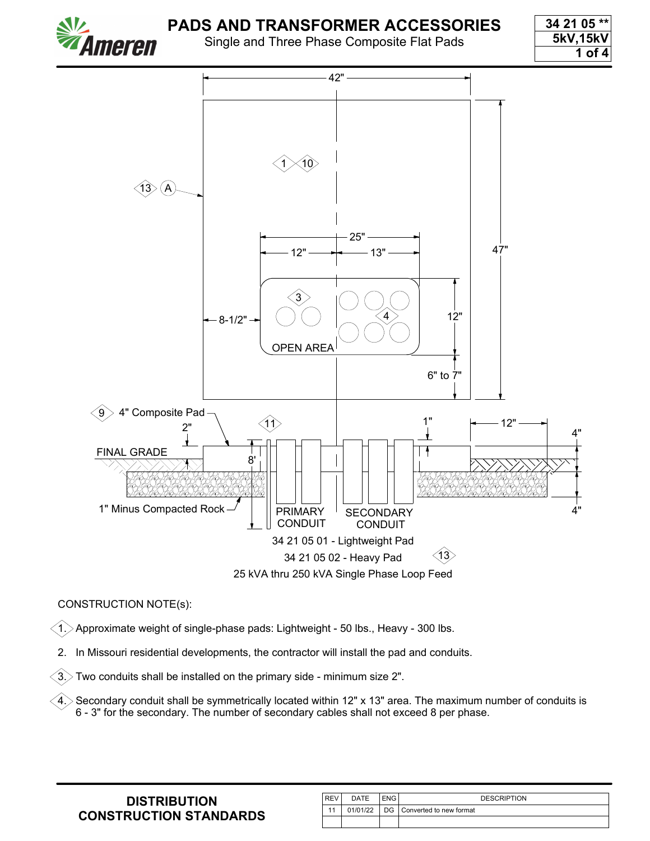

Single and Three Phase Composite Flat Pads

**34 21 05 \*\* 5kV,15kV 1 of 4**



#### CONSTRUCTION NOTE(s):

 $\langle 1. \rangle$  Approximate weight of single-phase pads: Lightweight - 50 lbs., Heavy - 300 lbs.

2. In Missouri residential developments, the contractor will install the pad and conduits.

 $(3)$  Two conduits shall be installed on the primary side - minimum size 2".

 $\langle 4. \rangle$  Secondary conduit shall be symmetrically located within 12" x 13" area. The maximum number of conduits is 6 - 3" for the secondary. The number of secondary cables shall not exceed 8 per phase.

| <b>DISTRIBUTION</b>           |
|-------------------------------|
| <b>CONSTRUCTION STANDARDS</b> |

| l REV | DATE     | ENG | <b>DESCRIPTION</b>         |
|-------|----------|-----|----------------------------|
| 11    | 01/01/22 |     | DG Converted to new format |
|       |          |     |                            |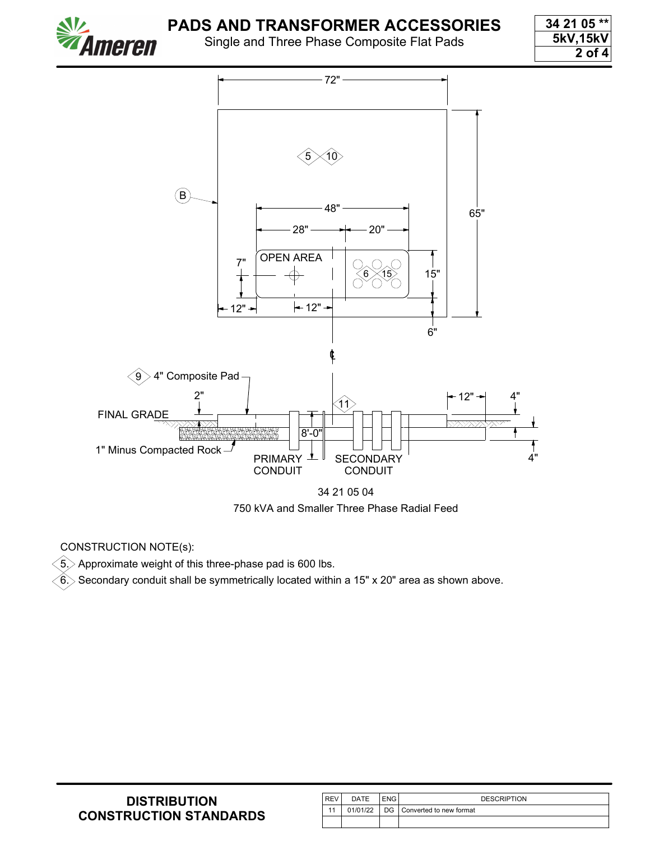Single and Three Phase Composite Flat Pads

**34 21 05 \*\* 5kV,15kV 2 of 4**



CONSTRUCTION NOTE(s):

meren

 $\widehat{5}$ . Approximate weight of this three-phase pad is 600 lbs.

 $\overline{\hat{6}}$ . $>$  Secondary conduit shall be symmetrically located within a 15" x 20" area as shown above.

| <b>DISTRIBUTION</b>           |
|-------------------------------|
| <b>CONSTRUCTION STANDARDS</b> |

| l REV | DATE | ENG I | <b>DESCRIPTION</b>                  |
|-------|------|-------|-------------------------------------|
|       |      |       | 01/01/22 DG Converted to new format |
|       |      |       |                                     |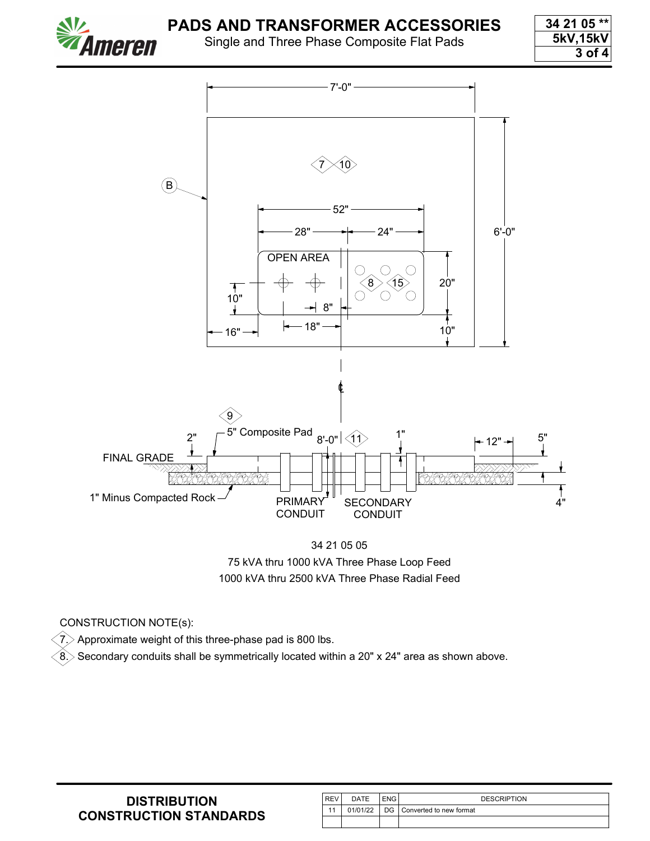

Single and Three Phase Composite Flat Pads

**34 21 05 \*\* 5kV,15kV 3 of 4**



34 21 05 05 75 kVA thru 1000 kVA Three Phase Loop Feed 1000 kVA thru 2500 kVA Three Phase Radial Feed

#### CONSTRUCTION NOTE(s):

 $\langle 7 \rangle$  Approximate weight of this three-phase pad is 800 lbs.

 $\hat{\textbf{8}}$  Secondary conduits shall be symmetrically located within a 20" x 24" area as shown above.

| <b>REV</b> | DATE | <b>ENG</b> | <b>DESCRIPTION</b>                  |
|------------|------|------------|-------------------------------------|
|            |      |            | 01/01/22 DG Converted to new format |
|            |      |            |                                     |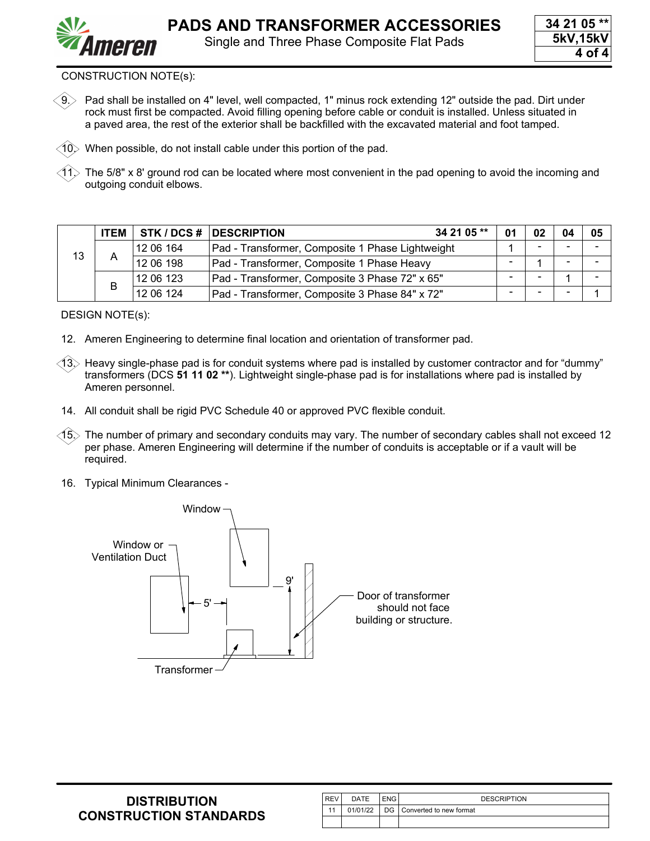

9. Pad shall be installed on 4" level, well compacted, 1" minus rock extending 12" outside the pad. Dirt under rock must first be compacted. Avoid filling opening before cable or conduit is installed. Unless situated in a paved area, the rest of the exterior shall be backfilled with the excavated material and foot tamped.

 $10$ . When possible, do not install cable under this portion of the pad.

The 5/8" x 8' ground rod can be located where most convenient in the pad opening to avoid the incoming and outgoing conduit elbows.

|    | <b>ITEM</b> |           | STK / DCS # DESCRIPTION<br>34 21 05 **           | 01 | 02 | 04 | 05 |
|----|-------------|-----------|--------------------------------------------------|----|----|----|----|
| 13 |             | 12 06 164 | Pad - Transformer, Composite 1 Phase Lightweight |    |    |    |    |
|    | Α           | 12 06 198 | Pad - Transformer, Composite 1 Phase Heavy       |    |    |    |    |
|    |             | 12 06 123 | Pad - Transformer, Composite 3 Phase 72" x 65"   |    |    |    |    |
|    |             | 12 06 124 | Pad - Transformer, Composite 3 Phase 84" x 72"   |    |    |    |    |

DESIGN NOTE(s):

- 12. Ameren Engineering to determine final location and orientation of transformer pad.
- $\langle 13 \rangle$  Heavy single-phase pad is for conduit systems where pad is installed by customer contractor and for "dummy" transformers (DCS **[51 11 02 \\*\\*](https://ameren.sharepoint.com/:b:/r/sites/DistributionStandards/Construction%20Standards/Standards%20Only/50%20UG%20Equipment/51%2011%2002.pdf?csf=1&web=1&e=hn9deV)**). Lightweight single-phase pad is for installations where pad is installed by Ameren personnel.
- 14. All conduit shall be rigid PVC Schedule 40 or approved PVC flexible conduit.
- $(15)$  The number of primary and secondary conduits may vary. The number of secondary cables shall not exceed 12 per phase. Ameren Engineering will determine if the number of conduits is acceptable or if a vault will be required.
- 16. Typical Minimum Clearances -



| <b>REV</b> | DATE | ENG I | <b>DESCRIPTION</b>                  |
|------------|------|-------|-------------------------------------|
|            |      |       | 01/01/22 DG Converted to new format |
|            |      |       |                                     |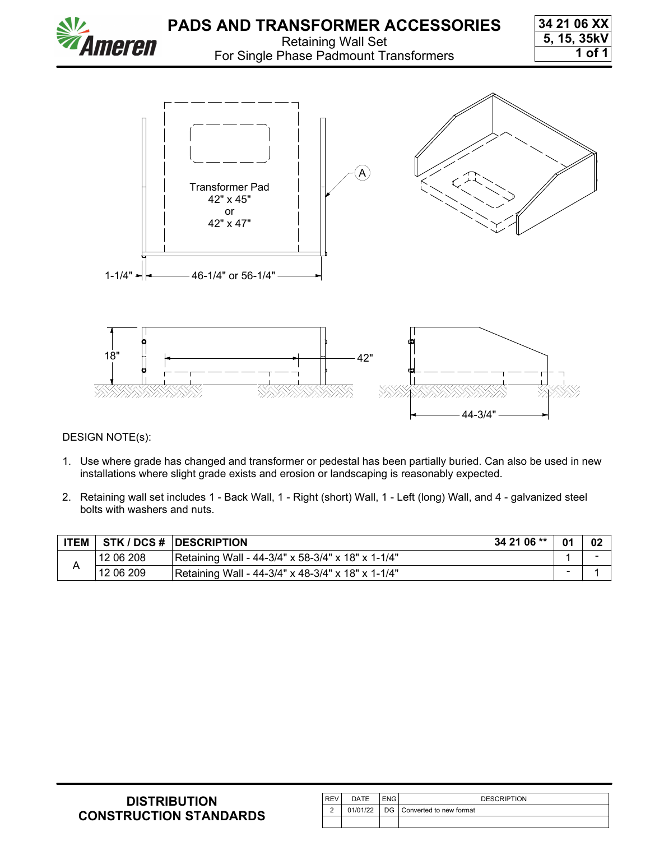

DESIGN NOTE(s):

- 1. Use where grade has changed and transformer or pedestal has been partially buried. Can also be used in new installations where slight grade exists and erosion or landscaping is reasonably expected.
- 2. Retaining wall set includes 1 Back Wall, 1 Right (short) Wall, 1 Left (long) Wall, and 4 galvanized steel bolts with washers and nuts.

| <b>ITEM</b> |           | 34 21 06 **<br><b>STK / DCS #   DESCRIPTION</b>   | -01 | -02 |
|-------------|-----------|---------------------------------------------------|-----|-----|
|             | 12 06 208 | Retaining Wall - 44-3/4" x 58-3/4" x 18" x 1-1/4" |     |     |
|             | 12 06 209 | Retaining Wall - 44-3/4" x 48-3/4" x 18" x 1-1/4" |     |     |

| <b>DISTRIBUTION</b>           |
|-------------------------------|
| <b>CONSTRUCTION STANDARDS</b> |

| <b>REV</b> | DATE     | <b>ENG</b> | <b>DESCRIPTION</b>         |
|------------|----------|------------|----------------------------|
| $\sqrt{2}$ | 01/01/22 |            | DG Converted to new format |
|            |          |            |                            |